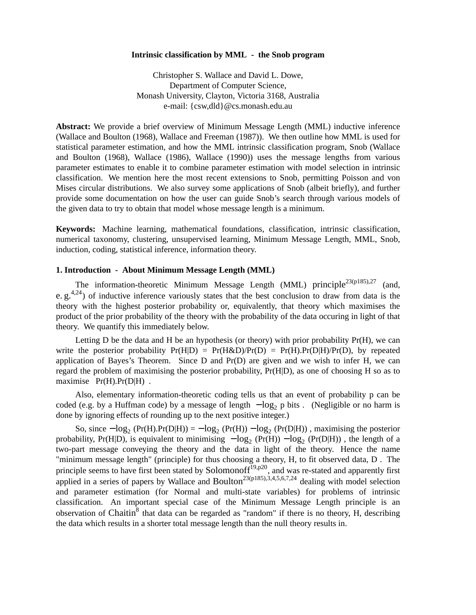## **Intrinsic classification by MML - the Snob program**

Christopher S. Wallace and David L. Dowe, Department of Computer Science, Monash University, Clayton, Victoria 3168, Australia e-mail: {csw,dld}@cs.monash.edu.au

**Abstract:** We provide a brief overview of Minimum Message Length (MML) inductive inference (Wallace and Boulton (1968), Wallace and Freeman (1987)). We then outline how MML is used for statistical parameter estimation, and how the MML intrinsic classification program, Snob (Wallace and Boulton (1968), Wallace (1986), Wallace (1990)) uses the message lengths from various parameter estimates to enable it to combine parameter estimation with model selection in intrinsic classification. We mention here the most recent extensions to Snob, permitting Poisson and von Mises circular distributions. We also survey some applications of Snob (albeit briefly), and further provide some documentation on how the user can guide Snob's search through various models of the given data to try to obtain that model whose message length is a minimum.

**Keywords:** Machine learning, mathematical foundations, classification, intrinsic classification, numerical taxonomy, clustering, unsupervised learning, Minimum Message Length, MML, Snob, induction, coding, statistical inference, information theory.

## **1. Introduction - About Minimum Message Length (MML)**

The information-theoretic Minimum Message Length (MML) principle<sup>23(p185),27</sup> (and, e.  $g^{4,24}$ ) of inductive inference variously states that the best conclusion to draw from data is the theory with the highest posterior probability or, equivalently, that theory which maximises the product of the prior probability of the theory with the probability of the data occuring in light of that theory. We quantify this immediately below.

Letting  $D$  be the data and  $H$  be an hypothesis (or theory) with prior probability  $Pr(H)$ , we can write the posterior probability  $Pr(H|D) = Pr(H\&D)/Pr(D) = Pr(H).Pr(D|H)/Pr(D)$ , by repeated application of Bayes's Theorem. Since  $D$  and  $Pr(D)$  are given and we wish to infer H, we can regard the problem of maximising the posterior probability, Pr(H|D), as one of choosing H so as to maximise Pr(H).Pr(D|H) .

Also, elementary information-theoretic coding tells us that an event of probability p can be coded (e.g. by a Huffman code) by a message of length  $-\log_2 p$  bits . (Negligible or no harm is done by ignoring effects of rounding up to the next positive integer.)

So, since  $-\log_2(Pr(H).Pr(D|H)) = -\log_2(Pr(H)) - \log_2(Pr(D|H))$ , maximising the posterior probability, Pr(H|D), is equivalent to minimising  $-\log_2(Pr(H)) - \log_2(Pr(D|H))$ , the length of a two-part message conveying the theory and the data in light of the theory. Hence the name "minimum message length" (principle) for thus choosing a theory, H, to fit observed data, D . The principle seems to have first been stated by Solomonoff<sup>19,p20</sup>, and was re-stated and apparently first applied in a series of papers by Wallace and Boulton<sup>23(p185),3,4,5,6,7,24</sup> dealing with model selection and parameter estimation (for Normal and multi-state variables) for problems of intrinsic classification. An important special case of the Minimum Message Length principle is an observation of Chaitin<sup>8</sup> that data can be regarded as "random" if there is no theory, H, describing the data which results in a shorter total message length than the null theory results in.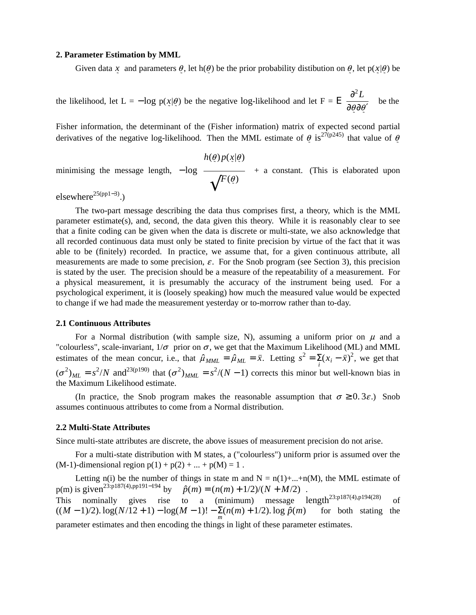## **2. Parameter Estimation by MML**

Given data x and parameters  $\theta$ , let h( $\theta$ ) be the prior probability distibution on  $\theta$ , let p(x| $\theta$ ) be *˜ ˜ ˜ ˜ ˜ ˜*

the likelihood, let  $L = -\log p(x|\theta)$  be the negative log-likelihood and let  $F = E$ ſ I I l  $∂<sup>2</sup>L$ ∂@∂*∳′*  $\left( \frac{1}{2} \right)$ J be the  $\bigg)$ 

Fisher information, the determinant of the (Fisher information) matrix of expected second partial derivatives of the negative log-likelihood. Then the MML estimate of  $\theta$  is<sup>27(p245)</sup> that value of  $\theta$ θ

minimising the message length, 
$$
-\log\left(\frac{h(\theta)p(x|\theta)}{\sqrt{F(\theta)}}\right)
$$
 + a constant. (This is elaborated upon  
elsewhere<sup>25(pp1-3)</sup>)

elsewhere<sup>25(pp1−3)</sup>.)

The two-part message describing the data thus comprises first, a theory, which is the MML parameter estimate(s), and, second, the data given this theory. While it is reasonably clear to see that a finite coding can be given when the data is discrete or multi-state, we also acknowledge that all recorded continuous data must only be stated to finite precision by virtue of the fact that it was able to be (finitely) recorded. In practice, we assume that, for a given continuous attribute, all measurements are made to some precision,  $\varepsilon$ . For the Snob program (see Section 3), this precision is stated by the user. The precision should be a measure of the repeatability of a measurement. For a physical measurement, it is presumably the accuracy of the instrument being used. For a psychological experiment, it is (loosely speaking) how much the measured value would be expected to change if we had made the measurement yesterday or to-morrow rather than to-day.

### **2.1 Continuous Attributes**

For a Normal distribution (with sample size, N), assuming a uniform prior on  $\mu$  and a "colourless", scale-invariant,  $1/\sigma$  prior on  $\sigma$ , we get that the Maximum Likelihood (ML) and MML estimates of the mean concur, i.e., that  $\hat{\mu}_{MML} = \hat{\mu}_{ML} = \bar{x}$ . Letting  $s^2 = \sum_i (x_i - \bar{x})^2$ , we get that *i*  $(\sigma^2)_{ML} = s^2/N$  and<sup>23(p190)</sup> that  $(\sigma^2)_{MML} = s^2/(N-1)$  corrects this minor but well-known bias in the Maximum Likelihood estimate.

(In practice, the Snob program makes the reasonable assumption that  $\sigma \ge 0.3\varepsilon$ .) Snob assumes continuous attributes to come from a Normal distribution.

# **2.2 Multi-State Attributes**

Since multi-state attributes are discrete, the above issues of measurement precision do not arise.

For a multi-state distribution with M states, a ("colourless") uniform prior is assumed over the (M-1)-dimensional region  $p(1) + p(2) + ... + p(M) = 1$ .

Letting n(i) be the number of things in state m and  $N = n(1) + ... + n(M)$ , the MML estimate of  $p(m)$  is given<sup>23:p187(4),pp191–194</sup> by  $\hat{p}(m) = (n(m) + 1/2)/(N + M/2)$ . This nominally gives rise to a (minimum) message  $length^{23:p187(4),p194(28)}$  of ((*M* − 1)/2). log(*N*/12 + 1) − log(*M* − 1)! − *m* Σ(*n*(*m*) + 1/2). log *p*ˆ(*m*) for both stating the

parameter estimates and then encoding the things in light of these parameter estimates.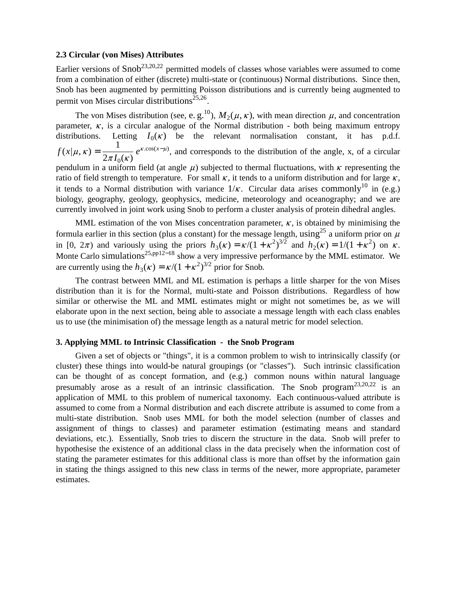## **2.3 Circular (von Mises) Attributes**

Earlier versions of  $\text{Snob}^{23,20,22}$  permitted models of classes whose variables were assumed to come from a combination of either (discrete) multi-state or (continuous) Normal distributions. Since then, Snob has been augmented by permitting Poisson distributions and is currently being augmented to permit von Mises circular distributions<sup>25,26</sup>.

The von Mises distribution (see, e. g.<sup>10</sup>),  $M_2(\mu, \kappa)$ , with mean direction  $\mu$ , and concentration parameter,  $\kappa$ , is a circular analogue of the Normal distribution - both being maximum entropy distributions. Letting  $I_0(\kappa)$  be the relevant normalisation constant, it has p.d.f.  $f(x|\mu, \kappa) =$ 1  $2\pi I_0(\kappa)$  $e^{\kappa \cdot \cos(x-\mu)}$ , and corresponds to the distribution of the angle, x, of a circular pendulum in a uniform field (at angle  $\mu$ ) subjected to thermal fluctuations, with  $\kappa$  representing the ratio of field strength to temperature. For small  $\kappa$ , it tends to a uniform distribution and for large  $\kappa$ , it tends to a Normal distribution with variance  $1/\kappa$ . Circular data arises commonly<sup>10</sup> in (e.g.) biology, geography, geology, geophysics, medicine, meteorology and oceanography; and we are currently involved in joint work using Snob to perform a cluster analysis of protein dihedral angles.

MML estimation of the von Mises concentration parameter,  $\kappa$ , is obtained by minimising the formula earlier in this section (plus a constant) for the message length, using<sup>25</sup> a uniform prior on  $\mu$ in [0,  $2\pi$ ) and variously using the priors  $h_3(\kappa) = \kappa/(1 + \kappa^2)^{3/2}$  and  $h_2(\kappa) = 1/(1 + \kappa^2)$  on  $\kappa$ . Monte Carlo simulations<sup>25,pp12−18</sup> show a very impressive performance by the MML estimator. We are currently using the  $h_3(\kappa) = \kappa/(1 + \kappa^2)^{3/2}$  prior for Snob.

The contrast between MML and ML estimation is perhaps a little sharper for the von Mises distribution than it is for the Normal, multi-state and Poisson distributions. Regardless of how similar or otherwise the ML and MML estimates might or might not sometimes be, as we will elaborate upon in the next section, being able to associate a message length with each class enables us to use (the minimisation of) the message length as a natural metric for model selection.

### **3. Applying MML to Intrinsic Classification - the Snob Program**

Given a set of objects or "things", it is a common problem to wish to intrinsically classify (or cluster) these things into would-be natural groupings (or "classes"). Such intrinsic classification can be thought of as concept formation, and (e.g.) common nouns within natural language presumably arose as a result of an intrinsic classification. The Snob program<sup>23,20,22</sup> is an application of MML to this problem of numerical taxonomy. Each continuous-valued attribute is assumed to come from a Normal distribution and each discrete attribute is assumed to come from a multi-state distribution. Snob uses MML for both the model selection (number of classes and assignment of things to classes) and parameter estimation (estimating means and standard deviations, etc.). Essentially, Snob tries to discern the structure in the data. Snob will prefer to hypothesise the existence of an additional class in the data precisely when the information cost of stating the parameter estimates for this additional class is more than offset by the information gain in stating the things assigned to this new class in terms of the newer, more appropriate, parameter estimates.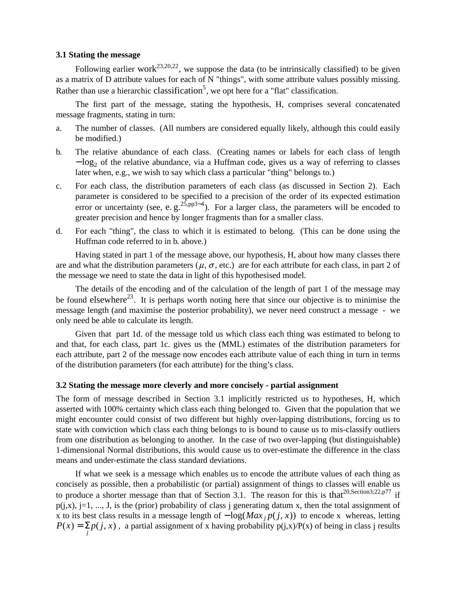# **3.1 Stating the message**

Following earlier work<sup>23,20,22</sup>, we suppose the data (to be intrinsically classified) to be given as a matrix of D attribute values for each of N "things", with some attribute values possibly missing. Rather than use a hierarchic classification<sup>5</sup>, we opt here for a "flat" classification.

The first part of the message, stating the hypothesis, H, comprises several concatenated message fragments, stating in turn:

- a. The number of classes. (All numbers are considered equally likely, although this could easily be modified.)
- b. The relative abundance of each class. (Creating names or labels for each class of length − log<sub>2</sub> of the relative abundance, via a Huffman code, gives us a way of referring to classes later when, e.g., we wish to say which class a particular "thing" belongs to.)
- c. For each class, the distribution parameters of each class (as discussed in Section 2). Each parameter is considered to be specified to a precision of the order of its expected estimation error or uncertainty (see, e.  $g^{25, pp3-4}$ ). For a larger class, the parameters will be encoded to greater precision and hence by longer fragments than for a smaller class.
- d. For each "thing", the class to which it is estimated to belong. (This can be done using the Huffman code referred to in b. above.)

Having stated in part 1 of the message above, our hypothesis, H, about how many classes there are and what the distribution parameters ( $\mu$ ,  $\sigma$ , etc.) are for each attribute for each class, in part 2 of the message we need to state the data in light of this hypothesised model.

The details of the encoding and of the calculation of the length of part 1 of the message may be found elsewhere<sup>23</sup>. It is perhaps worth noting here that since our objective is to minimise the message length (and maximise the posterior probability), we never need construct a message - we only need be able to calculate its length.

Given that part 1d. of the message told us which class each thing was estimated to belong to and that, for each class, part 1c. gives us the (MML) estimates of the distribution parameters for each attribute, part 2 of the message now encodes each attribute value of each thing in turn in terms of the distribution parameters (for each attribute) for the thing's class.

#### **3.2 Stating the message more cleverly and more concisely - partial assignment**

The form of message described in Section 3.1 implicitly restricted us to hypotheses, H, which asserted with 100% certainty which class each thing belonged to. Given that the population that we might encounter could consist of two different but highly over-lapping distributions, forcing us to state with conviction which class each thing belongs to is bound to cause us to mis-classify outliers from one distribution as belonging to another. In the case of two over-lapping (but distinguishable) 1-dimensional Normal distributions, this would cause us to over-estimate the difference in the class means and under-estimate the class standard deviations.

If what we seek is a message which enables us to encode the attribute values of each thing as concisely as possible, then a probabilistic (or partial) assignment of things to classes will enable us to produce a shorter message than that of Section 3.1. The reason for this is that<sup>20,Section3;22,p77</sup> if  $p(i,x)$ ,  $j=1, ..., J$ , is the (prior) probability of class j generating datum x, then the total assignment of x to its best class results in a message length of  $-\log Max_i p(j, x)$  to encode x whereas, letting  $P(x) = \sum_{j} p(j, x)$ , a partial assignment of x having probability  $p(j, x)/P(x)$  of being in class j results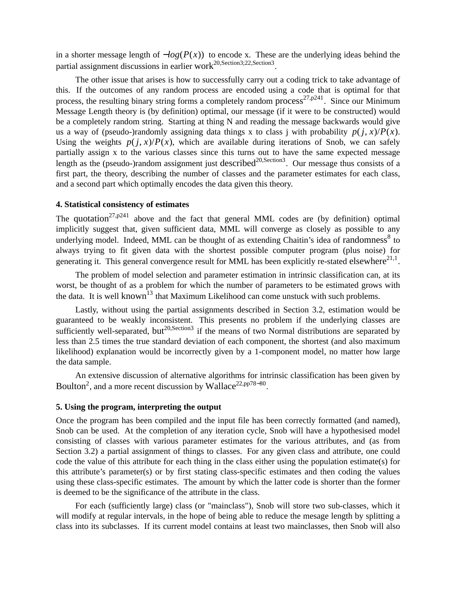in a shorter message length of  $-\log(P(x))$  to encode x. These are the underlying ideas behind the partial assignment discussions in earlier work<sup>20,Section3</sup>;22,Section3.

The other issue that arises is how to successfully carry out a coding trick to take advantage of this. If the outcomes of any random process are encoded using a code that is optimal for that process, the resulting binary string forms a completely random process<sup>27,p241</sup>. Since our Minimum Message Length theory is (by definition) optimal, our message (if it were to be constructed) would be a completely random string. Starting at thing N and reading the message backwards would give us a way of (pseudo-)randomly assigning data things x to class j with probability  $p(j, x)/P(x)$ . Using the weights  $p(i, x)/P(x)$ , which are available during iterations of Snob, we can safely partially assign x to the various classes since this turns out to have the same expected message length as the (pseudo-)random assignment just described<sup>20, Section3</sup>. Our message thus consists of a first part, the theory, describing the number of classes and the parameter estimates for each class, and a second part which optimally encodes the data given this theory.

# **4. Statistical consistency of estimates**

The quotation<sup>27,p241</sup> above and the fact that general MML codes are (by definition) optimal implicitly suggest that, given sufficient data, MML will converge as closely as possible to any underlying model. Indeed, MML can be thought of as extending Chaitin's idea of randomness<sup>8</sup> to always trying to fit given data with the shortest possible computer program (plus noise) for generating it. This general convergence result for MML has been explicitly re-stated elsewhere $^{21,1}$ .

The problem of model selection and parameter estimation in intrinsic classification can, at its worst, be thought of as a problem for which the number of parameters to be estimated grows with the data. It is well known<sup>13</sup> that Maximum Likelihood can come unstuck with such problems.

Lastly, without using the partial assignments described in Section 3.2, estimation would be guaranteed to be weakly inconsistent. This presents no problem if the underlying classes are sufficiently well-separated, but<sup>20,Section3</sup> if the means of two Normal distributions are separated by less than 2.5 times the true standard deviation of each component, the shortest (and also maximum likelihood) explanation would be incorrectly given bya1-component model, no matter how large the data sample.

An extensive discussion of alternative algorithms for intrinsic classification has been given by Boulton<sup>2</sup>, and a more recent discussion by Wallace<sup>22,pp78–80</sup>.

# **5. Using the program, interpreting the output**

Once the program has been compiled and the input file has been correctly formatted (and named), Snob can be used. At the completion of any iteration cycle, Snob will have a hypothesised model consisting of classes with various parameter estimates for the various attributes, and (as from Section 3.2) a partial assignment of things to classes. For any given class and attribute, one could code the value of this attribute for each thing in the class either using the population estimate(s) for this attribute's parameter(s) or by first stating class-specific estimates and then coding the values using these class-specific estimates. The amount by which the latter code is shorter than the former is deemed to be the significance of the attribute in the class.

For each (sufficiently large) class (or "mainclass"), Snob will store two sub-classes, which it will modify at regular intervals, in the hope of being able to reduce the mesage length by splitting a class into its subclasses. If its current model contains at least two mainclasses, then Snob will also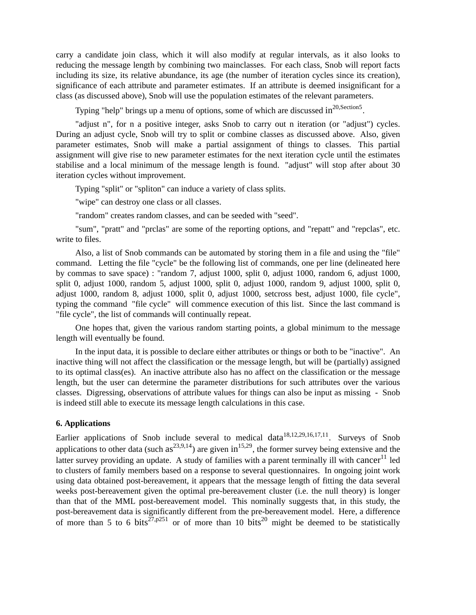carry a candidate join class, which it will also modify at regular intervals, as it also looks to reducing the message length by combining two mainclasses. For each class, Snob will report facts including its size, its relative abundance, its age (the number of iteration cycles since its creation), significance of each attribute and parameter estimates. If an attribute is deemed insignificant for a class (as discussed above), Snob will use the population estimates of the relevant parameters.

Typing "help" brings up a menu of options, some of which are discussed in $^{20, \text{Section 5}}$ .

"adjust n", for n a positive integer, asks Snob to carry out n iteration (or "adjust") cycles. During an adjust cycle, Snob will try to split or combine classes as discussed above. Also, given parameter estimates, Snob will make a partial assignment of things to classes. This partial assignment will give rise to new parameter estimates for the next iteration cycle until the estimates stabilise and a local minimum of the message length is found. "adjust" will stop after about 30 iteration cycles without improvement.

Typing "split" or "spliton" can induce a variety of class splits.

"wipe" can destroy one class or all classes.

"random" creates random classes, and can be seeded with "seed".

"sum", "pratt" and "prclas" are some of the reporting options, and "repatt" and "repclas", etc. write to files.

Also, a list of Snob commands can be automated by storing them in a file and using the "file" command. Letting the file "cycle" be the following list of commands, one per line (delineated here by commas to save space) : "random 7, adjust 1000, split 0, adjust 1000, random 6, adjust 1000, split 0, adjust 1000, random 5, adjust 1000, split 0, adjust 1000, random 9, adjust 1000, split 0, adjust 1000, random 8, adjust 1000, split 0, adjust 1000, setcross best, adjust 1000, file cycle", typing the command "file cycle" will commence execution of this list. Since the last command is "file cycle", the list of commands will continually repeat.

One hopes that, given the various random starting points, a global minimum to the message length will eventually be found.

In the input data, it is possible to declare either attributes or things or both to be "inactive". An inactive thing will not affect the classification or the message length, but will be (partially) assigned to its optimal class(es). An inactive attribute also has no affect on the classification or the message length, but the user can determine the parameter distributions for such attributes over the various classes. Digressing, observations of attribute values for things can also be input as missing - Snob is indeed still able to execute its message length calculations in this case.

## **6. Applications**

Earlier applications of Snob include several to medical data<sup>18,12,29,16,17,11</sup>. Surveys of Snob applications to other data (such  $as^{23,9,14}$ ) are given in<sup>15,29</sup>, the former survey being extensive and the latter survey providing an update. A study of families with a parent terminally ill with cancer<sup>11</sup> led to clusters of family members based on a response to several questionnaires. In ongoing joint work using data obtained post-bereavement, it appears that the message length of fitting the data several weeks post-bereavement given the optimal pre-bereavement cluster (i.e. the null theory) is longer than that of the MML post-bereavement model. This nominally suggests that, in this study, the post-bereavement data is significantly different from the pre-bereavement model. Here, a difference of more than 5 to 6 bits<sup>27,p251</sup> or of more than 10 bits<sup>20</sup> might be deemed to be statistically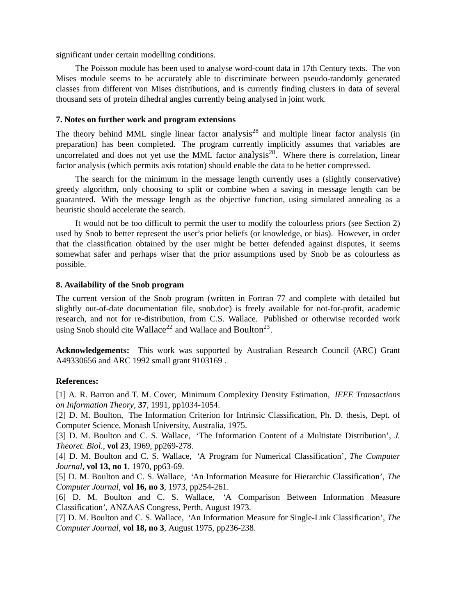significant under certain modelling conditions.

The Poisson module has been used to analyse word-count data in 17th Century texts. The von Mises module seems to be accurately able to discriminate between pseudo-randomly generated classes from different von Mises distributions, and is currently finding clusters in data of several thousand sets of protein dihedral angles currently being analysed in joint work.

# **7. Notes on further work and program extensions**

The theory behind MML single linear factor analysis<sup>28</sup> and multiple linear factor analysis (in preparation) has been completed. The program currently implicitly assumes that variables are uncorrelated and does not yet use the MML factor analysis<sup>28</sup>. Where there is correlation, linear factor analysis (which permits axis rotation) should enable the data to be better compressed.

The search for the minimum in the message length currently uses a (slightly conservative) greedy algorithm, only choosing to split or combine when a saving in message length can be guaranteed. With the message length as the objective function, using simulated annealing as a heuristic should accelerate the search.

It would not be too difficult to permit the user to modify the colourless priors (see Section 2) used by Snob to better represent the user's prior beliefs (or knowledge, or bias). However, in order that the classification obtained by the user might be better defended against disputes, it seems somewhat safer and perhaps wiser that the prior assumptions used by Snob be as colourless as possible.

## **8. Availability of the Snob program**

The current version of the Snob program (written in Fortran 77 and complete with detailed but slightly out-of-date documentation file, snob.doc) is freely available for not-for-profit, academic research, and not for re-distribution, from C.S. Wallace. Published or otherwise recorded work using Snob should cite Wallace<sup>22</sup> and Wallace and Boulton<sup>23</sup>.

**Acknowledgements:** This work was supported by Australian Research Council (ARC) Grant A49330656 and ARC 1992 small grant 9103169 .

# **References:**

[1] A. R. Barron and T. M. Cover, Minimum Complexity Density Estimation, *IEEE Transactions on Information Theory*, **37**, 1991, pp1034-1054.

[2] D. M. Boulton, The Information Criterion for Intrinsic Classification, Ph. D. thesis, Dept. of Computer Science, Monash University, Australia, 1975.

[3] D. M. Boulton and C. S. Wallace, 'The Information Content of a Multistate Distribution', *J. Theoret. Biol.*, **vol 23**, 1969, pp269-278.

[4] D. M. Boulton and C. S. Wallace, 'A Program for Numerical Classification', *The Computer Journal*, **vol 13, no 1**, 1970, pp63-69.

[5] D. M. Boulton and C. S. Wallace, 'An Information Measure for Hierarchic Classification', *The Computer Journal*, **vol 16, no 3**, 1973, pp254-261.

[6] D. M. Boulton and C. S. Wallace, 'A Comparison Between Information Measure Classification', ANZAAS Congress, Perth, August 1973.

[7] D. M. Boulton and C. S. Wallace, 'An Information Measure for Single-Link Classification', *The Computer Journal*, **vol 18, no 3**, August 1975, pp236-238.